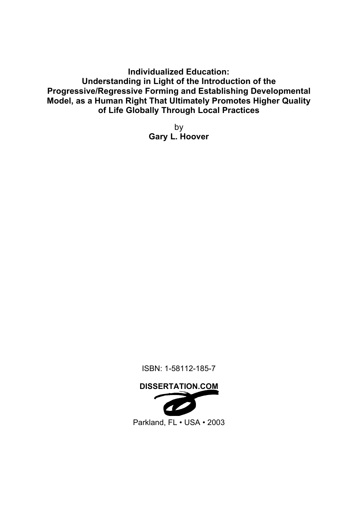**Individualized Education: Understanding in Light of the Introduction of the Progressive/Regressive Forming and Establishing Developmental Model, as a Human Right That Ultimately Promotes Higher Quality of Life Globally Through Local Practices**

> by **Gary L. Hoover**

ISBN: 1-58112-185-7

## **DISSERTATION.COM**



Parkland, FL • USA • 2003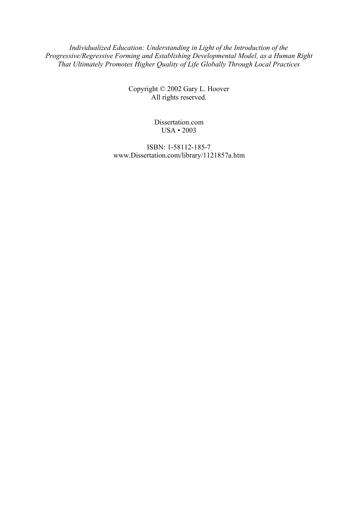*Individualized Education: Understanding in Light of the Introduction of the Progressive/Regressive Forming and Establishing Developmental Model, as a Human Right That Ultimately Promotes Higher Quality of Life Globally Through Local Practices*

> Copyright © 2002 Gary L. Hoover All rights reserved.

> > Dissertation.com USA • 2003

ISBN: 1-58112-185-7 www.Dissertation.com/library/1121857a.htm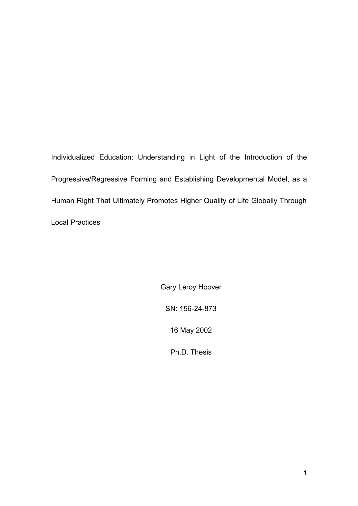Individualized Education: Understanding in Light of the Introduction of the Progressive/Regressive Forming and Establishing Developmental Model, as a Human Right That Ultimately Promotes Higher Quality of Life Globally Through Local Practices

> Gary Leroy Hoover SN: 156-24-873 16 May 2002 Ph.D. Thesis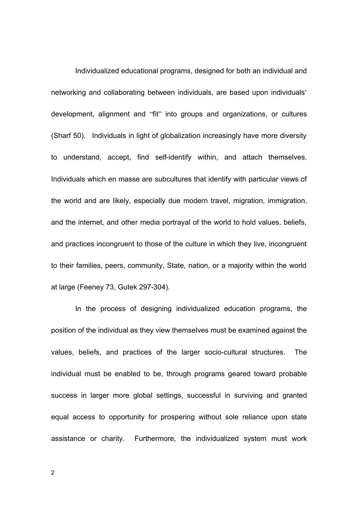Individualized educational programs, designed for both an individual and networking and collaborating between individuals, are based upon individuals' development, alignment and "fit" into groups and organizations, or cultures (Sharf 50). Individuals in light of globalization increasingly have more diversity to understand, accept, find self-identify within, and attach themselves. Individuals which en masse are subcultures that identify with particular views of the world and are likely, especially due modern travel, migration, immigration, and the internet, and other media portrayal of the world to hold values, beliefs, and practices incongruent to those of the culture in which they live, incongruent to their families, peers, community, State, nation, or a majority within the world at large (Feeney 73, Gutek 297-304).

In the process of designing individualized education programs, the position of the individual as they view themselves must be examined against the values, beliefs, and practices of the larger socio-cultural structures. The individual must be enabled to be, through programs geared toward probable success in larger more global settings, successful in surviving and granted equal access to opportunity for prospering without sole reliance upon state assistance or charity. Furthermore, the individualized system must work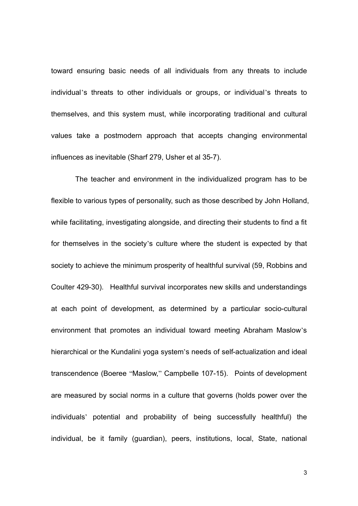toward ensuring basic needs of all individuals from any threats to include individual's threats to other individuals or groups, or individual's threats to themselves, and this system must, while incorporating traditional and cultural values take a postmodern approach that accepts changing environmental influences as inevitable (Sharf 279, Usher et al 35-7).

The teacher and environment in the individualized program has to be flexible to various types of personality, such as those described by John Holland, while facilitating, investigating alongside, and directing their students to find a fit for themselves in the society's culture where the student is expected by that society to achieve the minimum prosperity of healthful survival (59, Robbins and Coulter 429-30). Healthful survival incorporates new skills and understandings at each point of development, as determined by a particular socio-cultural environment that promotes an individual toward meeting Abraham Maslow's hierarchical or the Kundalini yoga system's needs of self-actualization and ideal transcendence (Boeree "Maslow," Campbelle 107-15). Points of development are measured by social norms in a culture that governs (holds power over the individuals' potential and probability of being successfully healthful) the individual, be it family (guardian), peers, institutions, local, State, national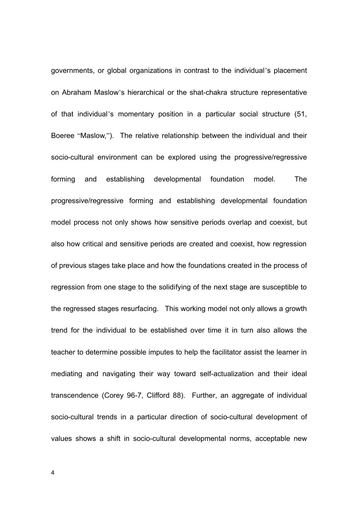governments, or global organizations in contrast to the individual's placement on Abraham Maslow's hierarchical or the shat-chakra structure representative of that individual's momentary position in a particular social structure (51, Boeree "Maslow,"). The relative relationship between the individual and their socio-cultural environment can be explored using the progressive/regressive forming and establishing developmental foundation model. The progressive/regressive forming and establishing developmental foundation model process not only shows how sensitive periods overlap and coexist, but also how critical and sensitive periods are created and coexist, how regression of previous stages take place and how the foundations created in the process of regression from one stage to the solidifying of the next stage are susceptible to the regressed stages resurfacing. This working model not only allows a growth trend for the individual to be established over time it in turn also allows the teacher to determine possible imputes to help the facilitator assist the learner in mediating and navigating their way toward self-actualization and their ideal transcendence (Corey 96-7, Clifford 88). Further, an aggregate of individual socio-cultural trends in a particular direction of socio-cultural development of values shows a shift in socio-cultural developmental norms, acceptable new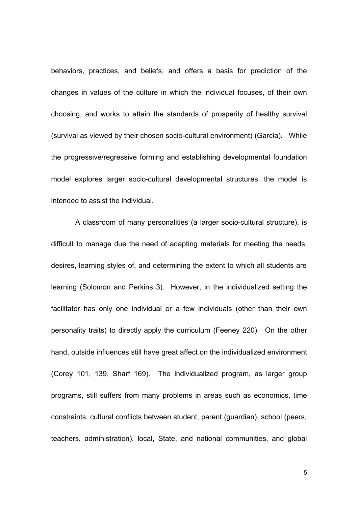behaviors, practices, and beliefs, and offers a basis for prediction of the changes in values of the culture in which the individual focuses, of their own choosing, and works to attain the standards of prosperity of healthy survival (survival as viewed by their chosen socio-cultural environment) (Garcia). While the progressive/regressive forming and establishing developmental foundation model explores larger socio-cultural developmental structures, the model is intended to assist the individual.

A classroom of many personalities (a larger socio-cultural structure), is difficult to manage due the need of adapting materials for meeting the needs, desires, learning styles of, and determining the extent to which all students are learning (Solomon and Perkins 3). However, in the individualized setting the facilitator has only one individual or a few individuals (other than their own personality traits) to directly apply the curriculum (Feeney 220). On the other hand, outside influences still have great affect on the individualized environment (Corey 101, 139, Sharf 169). The individualized program, as larger group programs, still suffers from many problems in areas such as economics, time constraints, cultural conflicts between student, parent (guardian), school (peers, teachers, administration), local, State, and national communities, and global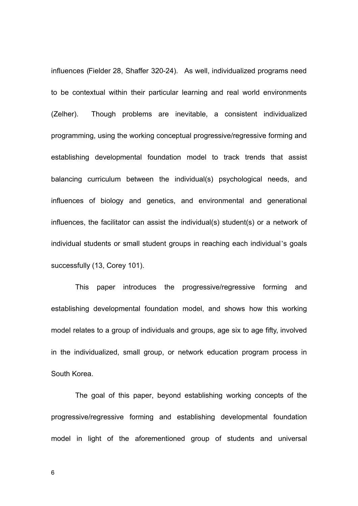influences (Fielder 28, Shaffer 320-24). As well, individualized programs need to be contextual within their particular learning and real world environments (Zelher). Though problems are inevitable, a consistent individualized programming, using the working conceptual progressive/regressive forming and establishing developmental foundation model to track trends that assist balancing curriculum between the individual(s) psychological needs, and influences of biology and genetics, and environmental and generational influences, the facilitator can assist the individual(s) student(s) or a network of individual students or small student groups in reaching each individual's goals successfully (13, Corey 101).

This paper introduces the progressive/regressive forming and establishing developmental foundation model, and shows how this working model relates to a group of individuals and groups, age six to age fifty, involved in the individualized, small group, or network education program process in South Korea.

The goal of this paper, beyond establishing working concepts of the progressive/regressive forming and establishing developmental foundation model in light of the aforementioned group of students and universal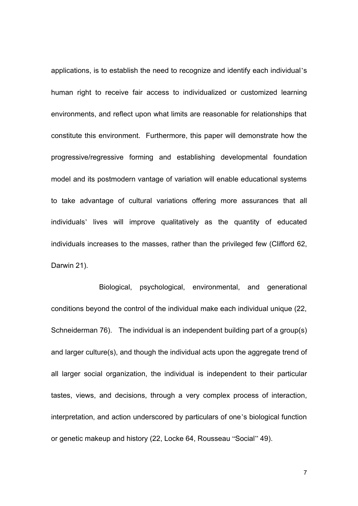applications, is to establish the need to recognize and identify each individual's human right to receive fair access to individualized or customized learning environments, and reflect upon what limits are reasonable for relationships that constitute this environment. Furthermore, this paper will demonstrate how the progressive/regressive forming and establishing developmental foundation model and its postmodern vantage of variation will enable educational systems to take advantage of cultural variations offering more assurances that all individuals' lives will improve qualitatively as the quantity of educated individuals increases to the masses, rather than the privileged few (Clifford 62, Darwin 21).

Biological, psychological, environmental, and generational conditions beyond the control of the individual make each individual unique (22, Schneiderman 76). The individual is an independent building part of a group(s) and larger culture(s), and though the individual acts upon the aggregate trend of all larger social organization, the individual is independent to their particular tastes, views, and decisions, through a very complex process of interaction, interpretation, and action underscored by particulars of one's biological function or genetic makeup and history (22, Locke 64, Rousseau "Social" 49).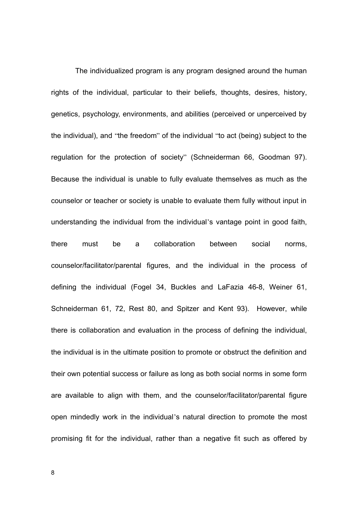The individualized program is any program designed around the human rights of the individual, particular to their beliefs, thoughts, desires, history, genetics, psychology, environments, and abilities (perceived or unperceived by the individual), and "the freedom" of the individual "to act (being) subject to the regulation for the protection of society" (Schneiderman 66, Goodman 97). Because the individual is unable to fully evaluate themselves as much as the counselor or teacher or society is unable to evaluate them fully without input in understanding the individual from the individual's vantage point in good faith, there must be a collaboration between social norms, counselor/facilitator/parental figures, and the individual in the process of defining the individual (Fogel 34, Buckles and LaFazia 46-8, Weiner 61, Schneiderman 61, 72, Rest 80, and Spitzer and Kent 93). However, while there is collaboration and evaluation in the process of defining the individual, the individual is in the ultimate position to promote or obstruct the definition and their own potential success or failure as long as both social norms in some form are available to align with them, and the counselor/facilitator/parental figure open mindedly work in the individual's natural direction to promote the most promising fit for the individual, rather than a negative fit such as offered by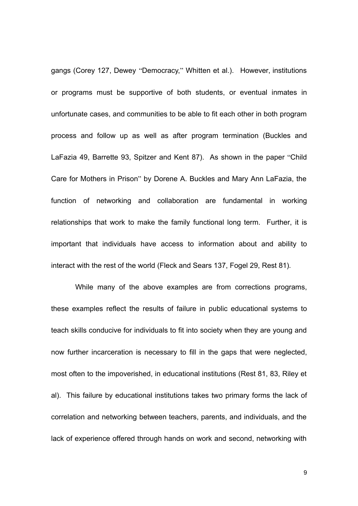gangs (Corey 127, Dewey "Democracy," Whitten et al.). However, institutions or programs must be supportive of both students, or eventual inmates in unfortunate cases, and communities to be able to fit each other in both program process and follow up as well as after program termination (Buckles and LaFazia 49, Barrette 93, Spitzer and Kent 87). As shown in the paper "Child Care for Mothers in Prison" by Dorene A. Buckles and Mary Ann LaFazia, the function of networking and collaboration are fundamental in working relationships that work to make the family functional long term. Further, it is important that individuals have access to information about and ability to interact with the rest of the world (Fleck and Sears 137, Fogel 29, Rest 81).

While many of the above examples are from corrections programs, these examples reflect the results of failure in public educational systems to teach skills conducive for individuals to fit into society when they are young and now further incarceration is necessary to fill in the gaps that were neglected, most often to the impoverished, in educational institutions (Rest 81, 83, Riley et al). This failure by educational institutions takes two primary forms the lack of correlation and networking between teachers, parents, and individuals, and the lack of experience offered through hands on work and second, networking with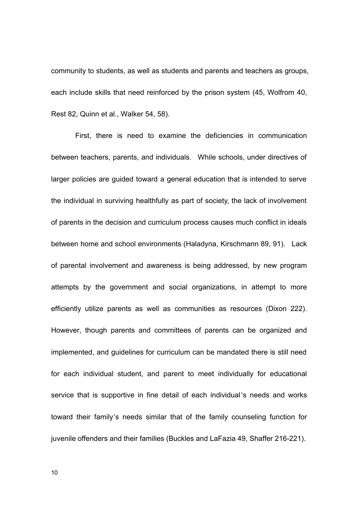community to students, as well as students and parents and teachers as groups, each include skills that need reinforced by the prison system (45, Wolfrom 40, Rest 82, Quinn et al., Walker 54, 58).

First, there is need to examine the deficiencies in communication between teachers, parents, and individuals. While schools, under directives of larger policies are guided toward a general education that is intended to serve the individual in surviving healthfully as part of society, the lack of involvement of parents in the decision and curriculum process causes much conflict in ideals between home and school environments (Haladyna, Kirschmann 89, 91). Lack of parental involvement and awareness is being addressed, by new program attempts by the government and social organizations, in attempt to more efficiently utilize parents as well as communities as resources (Dixon 222). However, though parents and committees of parents can be organized and implemented, and guidelines for curriculum can be mandated there is still need for each individual student, and parent to meet individually for educational service that is supportive in fine detail of each individual's needs and works toward their family's needs similar that of the family counseling function for juvenile offenders and their families (Buckles and LaFazia 49, Shaffer 216-221).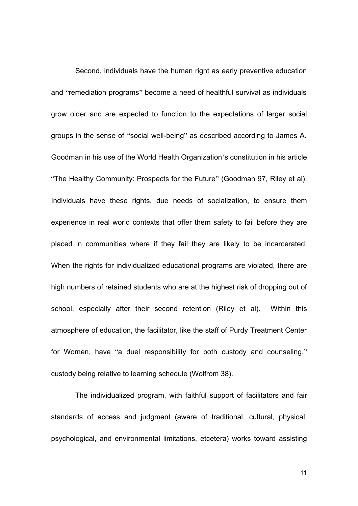Second, individuals have the human right as early preventive education and "remediation programs" become a need of healthful survival as individuals grow older and are expected to function to the expectations of larger social groups in the sense of "social well-being" as described according to James A. Goodman in his use of the World Health Organization's constitution in his article "The Healthy Community: Prospects for the Future" (Goodman 97, Riley et al). Individuals have these rights, due needs of socialization, to ensure them experience in real world contexts that offer them safety to fail before they are placed in communities where if they fail they are likely to be incarcerated. When the rights for individualized educational programs are violated, there are high numbers of retained students who are at the highest risk of dropping out of school, especially after their second retention (Riley et al). Within this atmosphere of education, the facilitator, like the staff of Purdy Treatment Center for Women, have "a duel responsibility for both custody and counseling," custody being relative to learning schedule (Wolfrom 38).

The individualized program, with faithful support of facilitators and fair standards of access and judgment (aware of traditional, cultural, physical, psychological, and environmental limitations, etcetera) works toward assisting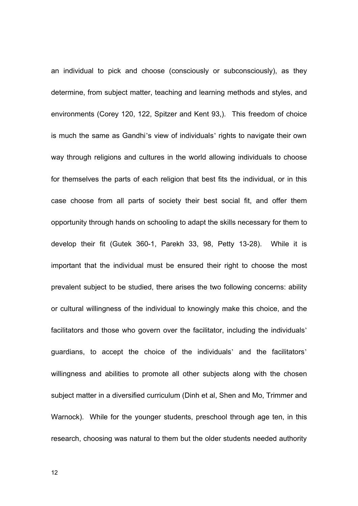an individual to pick and choose (consciously or subconsciously), as they determine, from subject matter, teaching and learning methods and styles, and environments (Corey 120, 122, Spitzer and Kent 93,). This freedom of choice is much the same as Gandhi's view of individuals' rights to navigate their own way through religions and cultures in the world allowing individuals to choose for themselves the parts of each religion that best fits the individual, or in this case choose from all parts of society their best social fit, and offer them opportunity through hands on schooling to adapt the skills necessary for them to develop their fit (Gutek 360-1, Parekh 33, 98, Petty 13-28). While it is important that the individual must be ensured their right to choose the most prevalent subject to be studied, there arises the two following concerns: ability or cultural willingness of the individual to knowingly make this choice, and the facilitators and those who govern over the facilitator, including the individuals' guardians, to accept the choice of the individuals' and the facilitators' willingness and abilities to promote all other subjects along with the chosen subject matter in a diversified curriculum (Dinh et al, Shen and Mo, Trimmer and Warnock). While for the younger students, preschool through age ten, in this research, choosing was natural to them but the older students needed authority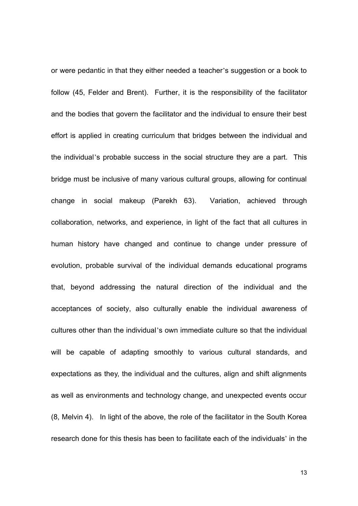or were pedantic in that they either needed a teacher's suggestion or a book to follow (45, Felder and Brent). Further, it is the responsibility of the facilitator and the bodies that govern the facilitator and the individual to ensure their best effort is applied in creating curriculum that bridges between the individual and the individual's probable success in the social structure they are a part. This bridge must be inclusive of many various cultural groups, allowing for continual change in social makeup (Parekh 63). Variation, achieved through collaboration, networks, and experience, in light of the fact that all cultures in human history have changed and continue to change under pressure of evolution, probable survival of the individual demands educational programs that, beyond addressing the natural direction of the individual and the acceptances of society, also culturally enable the individual awareness of cultures other than the individual's own immediate culture so that the individual will be capable of adapting smoothly to various cultural standards, and expectations as they, the individual and the cultures, align and shift alignments as well as environments and technology change, and unexpected events occur (8, Melvin 4). In light of the above, the role of the facilitator in the South Korea research done for this thesis has been to facilitate each of the individuals' in the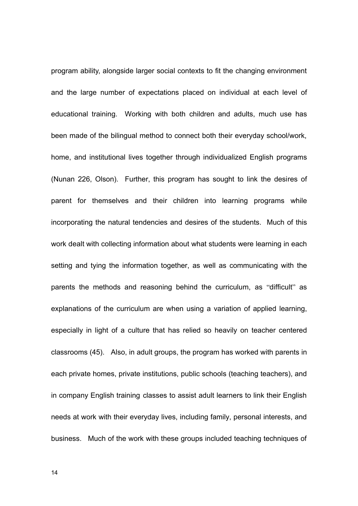program ability, alongside larger social contexts to fit the changing environment and the large number of expectations placed on individual at each level of educational training. Working with both children and adults, much use has been made of the bilingual method to connect both their everyday school/work, home, and institutional lives together through individualized English programs (Nunan 226, Olson). Further, this program has sought to link the desires of parent for themselves and their children into learning programs while incorporating the natural tendencies and desires of the students. Much of this work dealt with collecting information about what students were learning in each setting and tying the information together, as well as communicating with the parents the methods and reasoning behind the curriculum, as "difficult" as explanations of the curriculum are when using a variation of applied learning, especially in light of a culture that has relied so heavily on teacher centered classrooms (45). Also, in adult groups, the program has worked with parents in each private homes, private institutions, public schools (teaching teachers), and in company English training classes to assist adult learners to link their English needs at work with their everyday lives, including family, personal interests, and business. Much of the work with these groups included teaching techniques of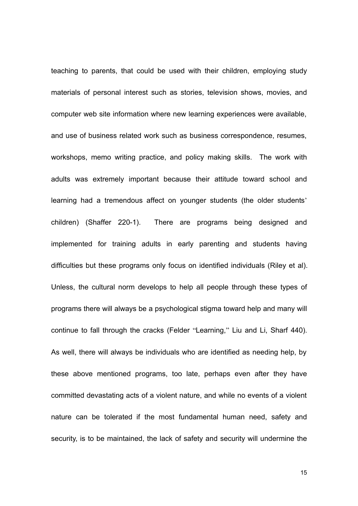teaching to parents, that could be used with their children, employing study materials of personal interest such as stories, television shows, movies, and computer web site information where new learning experiences were available, and use of business related work such as business correspondence, resumes, workshops, memo writing practice, and policy making skills. The work with adults was extremely important because their attitude toward school and learning had a tremendous affect on younger students (the older students' children) (Shaffer 220-1). There are programs being designed and implemented for training adults in early parenting and students having difficulties but these programs only focus on identified individuals (Riley et al). Unless, the cultural norm develops to help all people through these types of programs there will always be a psychological stigma toward help and many will continue to fall through the cracks (Felder "Learning," Liu and Li, Sharf 440). As well, there will always be individuals who are identified as needing help, by these above mentioned programs, too late, perhaps even after they have committed devastating acts of a violent nature, and while no events of a violent nature can be tolerated if the most fundamental human need, safety and security, is to be maintained, the lack of safety and security will undermine the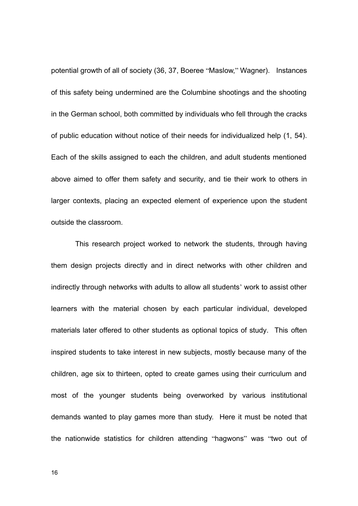potential growth of all of society (36, 37, Boeree "Maslow," Wagner). Instances of this safety being undermined are the Columbine shootings and the shooting in the German school, both committed by individuals who fell through the cracks of public education without notice of their needs for individualized help (1, 54). Each of the skills assigned to each the children, and adult students mentioned above aimed to offer them safety and security, and tie their work to others in larger contexts, placing an expected element of experience upon the student outside the classroom.

This research project worked to network the students, through having them design projects directly and in direct networks with other children and indirectly through networks with adults to allow all students' work to assist other learners with the material chosen by each particular individual, developed materials later offered to other students as optional topics of study. This often inspired students to take interest in new subjects, mostly because many of the children, age six to thirteen, opted to create games using their curriculum and most of the younger students being overworked by various institutional demands wanted to play games more than study. Here it must be noted that the nationwide statistics for children attending "hagwons" was "two out of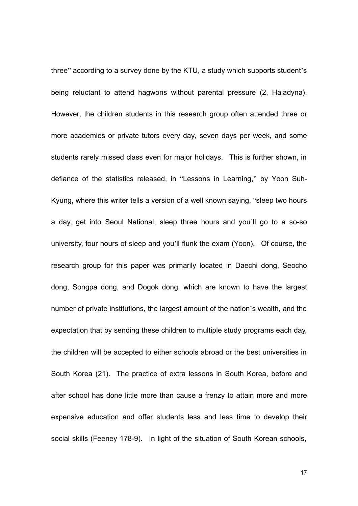three" according to a survey done by the KTU, a study which supports student's being reluctant to attend hagwons without parental pressure (2, Haladyna). However, the children students in this research group often attended three or more academies or private tutors every day, seven days per week, and some students rarely missed class even for major holidays. This is further shown, in defiance of the statistics released, in "Lessons in Learning," by Yoon Suh-Kyung, where this writer tells a version of a well known saying, "sleep two hours a day, get into Seoul National, sleep three hours and you'll go to a so-so university, four hours of sleep and you'll flunk the exam (Yoon). Of course, the research group for this paper was primarily located in Daechi dong, Seocho dong, Songpa dong, and Dogok dong, which are known to have the largest number of private institutions, the largest amount of the nation's wealth, and the expectation that by sending these children to multiple study programs each day, the children will be accepted to either schools abroad or the best universities in South Korea (21). The practice of extra lessons in South Korea, before and after school has done little more than cause a frenzy to attain more and more expensive education and offer students less and less time to develop their social skills (Feeney 178-9). In light of the situation of South Korean schools,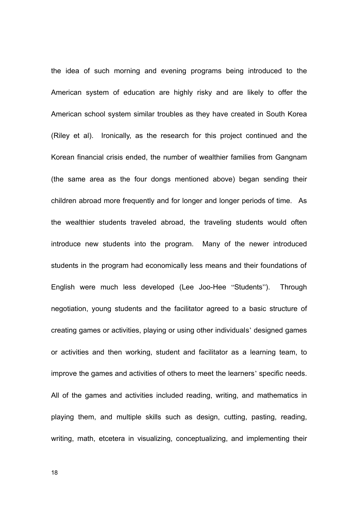the idea of such morning and evening programs being introduced to the American system of education are highly risky and are likely to offer the American school system similar troubles as they have created in South Korea (Riley et al). Ironically, as the research for this project continued and the Korean financial crisis ended, the number of wealthier families from Gangnam (the same area as the four dongs mentioned above) began sending their children abroad more frequently and for longer and longer periods of time. As the wealthier students traveled abroad, the traveling students would often introduce new students into the program. Many of the newer introduced students in the program had economically less means and their foundations of English were much less developed (Lee Joo-Hee "Students"). Through negotiation, young students and the facilitator agreed to a basic structure of creating games or activities, playing or using other individuals' designed games or activities and then working, student and facilitator as a learning team, to improve the games and activities of others to meet the learners' specific needs. All of the games and activities included reading, writing, and mathematics in playing them, and multiple skills such as design, cutting, pasting, reading, writing, math, etcetera in visualizing, conceptualizing, and implementing their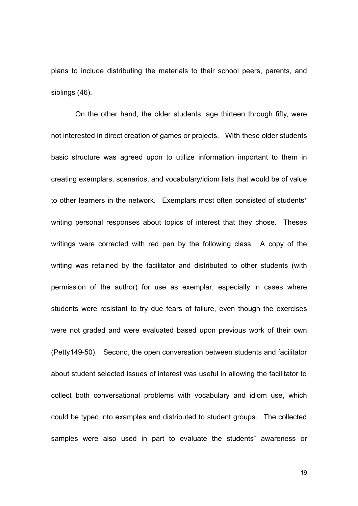plans to include distributing the materials to their school peers, parents, and siblings (46).

On the other hand, the older students, age thirteen through fifty, were not interested in direct creation of games or projects. With these older students basic structure was agreed upon to utilize information important to them in creating exemplars, scenarios, and vocabulary/idiom lists that would be of value to other learners in the network. Exemplars most often consisted of students' writing personal responses about topics of interest that they chose. Theses writings were corrected with red pen by the following class. A copy of the writing was retained by the facilitator and distributed to other students (with permission of the author) for use as exemplar, especially in cases where students were resistant to try due fears of failure, even though the exercises were not graded and were evaluated based upon previous work of their own (Petty149-50). Second, the open conversation between students and facilitator about student selected issues of interest was useful in allowing the facilitator to collect both conversational problems with vocabulary and idiom use, which could be typed into examples and distributed to student groups. The collected samples were also used in part to evaluate the students' awareness or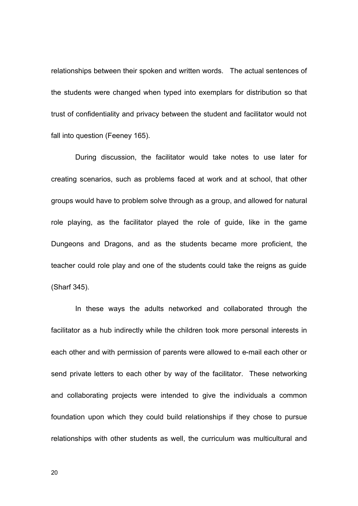relationships between their spoken and written words. The actual sentences of the students were changed when typed into exemplars for distribution so that trust of confidentiality and privacy between the student and facilitator would not fall into question (Feeney 165).

During discussion, the facilitator would take notes to use later for creating scenarios, such as problems faced at work and at school, that other groups would have to problem solve through as a group, and allowed for natural role playing, as the facilitator played the role of guide, like in the game Dungeons and Dragons, and as the students became more proficient, the teacher could role play and one of the students could take the reigns as guide (Sharf 345).

In these ways the adults networked and collaborated through the facilitator as a hub indirectly while the children took more personal interests in each other and with permission of parents were allowed to e-mail each other or send private letters to each other by way of the facilitator. These networking and collaborating projects were intended to give the individuals a common foundation upon which they could build relationships if they chose to pursue relationships with other students as well, the curriculum was multicultural and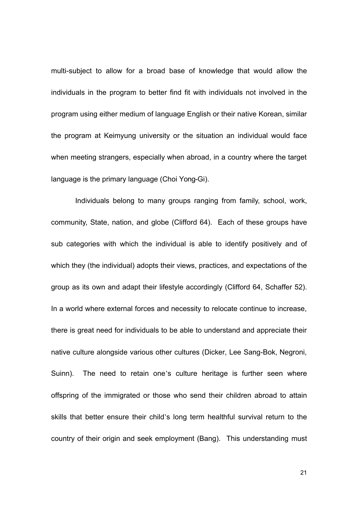multi-subject to allow for a broad base of knowledge that would allow the individuals in the program to better find fit with individuals not involved in the program using either medium of language English or their native Korean, similar the program at Keimyung university or the situation an individual would face when meeting strangers, especially when abroad, in a country where the target language is the primary language (Choi Yong-Gi).

Individuals belong to many groups ranging from family, school, work, community, State, nation, and globe (Clifford 64). Each of these groups have sub categories with which the individual is able to identify positively and of which they (the individual) adopts their views, practices, and expectations of the group as its own and adapt their lifestyle accordingly (Clifford 64, Schaffer 52). In a world where external forces and necessity to relocate continue to increase, there is great need for individuals to be able to understand and appreciate their native culture alongside various other cultures (Dicker, Lee Sang-Bok, Negroni, Suinn). The need to retain one's culture heritage is further seen where offspring of the immigrated or those who send their children abroad to attain skills that better ensure their child's long term healthful survival return to the country of their origin and seek employment (Bang). This understanding must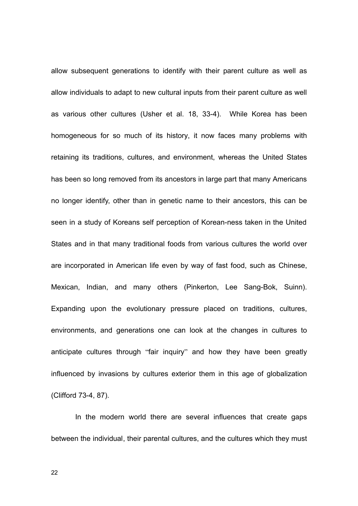allow subsequent generations to identify with their parent culture as well as allow individuals to adapt to new cultural inputs from their parent culture as well as various other cultures (Usher et al. 18, 33-4). While Korea has been homogeneous for so much of its history, it now faces many problems with retaining its traditions, cultures, and environment, whereas the United States has been so long removed from its ancestors in large part that many Americans no longer identify, other than in genetic name to their ancestors, this can be seen in a study of Koreans self perception of Korean-ness taken in the United States and in that many traditional foods from various cultures the world over are incorporated in American life even by way of fast food, such as Chinese, Mexican, Indian, and many others (Pinkerton, Lee Sang-Bok, Suinn). Expanding upon the evolutionary pressure placed on traditions, cultures, environments, and generations one can look at the changes in cultures to anticipate cultures through "fair inquiry" and how they have been greatly influenced by invasions by cultures exterior them in this age of globalization (Clifford 73-4, 87).

In the modern world there are several influences that create gaps between the individual, their parental cultures, and the cultures which they must